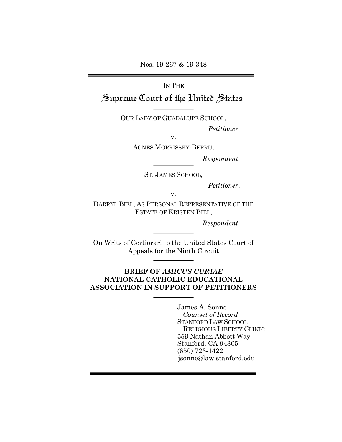Nos. 19-267 & 19-348

# IN THE Supreme Court of the United States

OUR LADY OF GUADALUPE SCHOOL,

*Petitioner*,

v.

AGNES MORRISSEY-BERRU,

*Respondent.*

ST. JAMES SCHOOL,

*Petitioner*,

v.

DARRYL BIEL, AS PERSONAL REPRESENTATIVE OF THE ESTATE OF KRISTEN BIEL,

*Respondent.*

On Writs of Certiorari to the United States Court of Appeals for the Ninth Circuit

## **BRIEF OF** *AMICUS CURIAE* **NATIONAL CATHOLIC EDUCATIONAL ASSOCIATION IN SUPPORT OF PETITIONERS**

James A. Sonne *Counsel of Record* STANFORD LAW SCHOOL RELIGIOUS LIBERTY CLINIC 559 Nathan Abbott Way Stanford, CA 94305 (650) 723-1422 jsonne@law.stanford.edu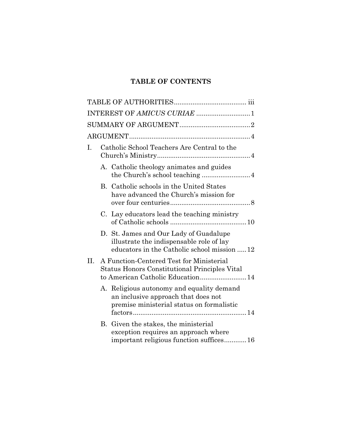## **TABLE OF CONTENTS**

|     |                                             | INTEREST OF AMICUS CURIAE 1                                                                                                          |  |  |  |
|-----|---------------------------------------------|--------------------------------------------------------------------------------------------------------------------------------------|--|--|--|
|     |                                             |                                                                                                                                      |  |  |  |
|     |                                             |                                                                                                                                      |  |  |  |
| I.  | Catholic School Teachers Are Central to the |                                                                                                                                      |  |  |  |
|     |                                             | A. Catholic theology animates and guides                                                                                             |  |  |  |
|     |                                             | B. Catholic schools in the United States<br>have advanced the Church's mission for                                                   |  |  |  |
|     |                                             | C. Lay educators lead the teaching ministry                                                                                          |  |  |  |
|     |                                             | D. St. James and Our Lady of Guadalupe<br>illustrate the indispensable role of lay<br>educators in the Catholic school mission 12    |  |  |  |
| II. |                                             | A Function-Centered Test for Ministerial<br><b>Status Honors Constitutional Principles Vital</b><br>to American Catholic Education14 |  |  |  |
|     |                                             | A. Religious autonomy and equality demand<br>an inclusive approach that does not<br>premise ministerial status on formalistic        |  |  |  |
|     |                                             | B. Given the stakes, the ministerial<br>exception requires an approach where<br>important religious function suffices16              |  |  |  |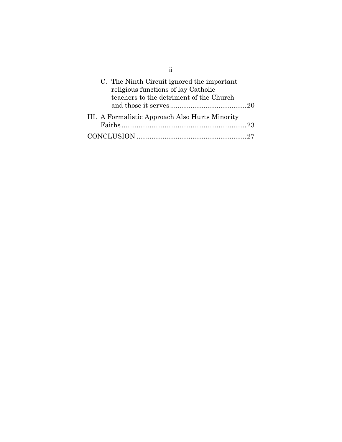| C. The Ninth Circuit ignored the important<br>religious functions of lay Catholic<br>teachers to the detriment of the Church |  |
|------------------------------------------------------------------------------------------------------------------------------|--|
|                                                                                                                              |  |
| III. A Formalistic Approach Also Hurts Minority                                                                              |  |
|                                                                                                                              |  |
|                                                                                                                              |  |

ii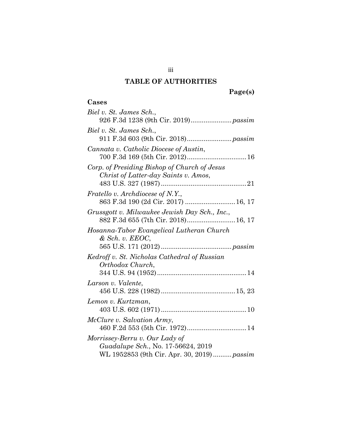## **TABLE OF AUTHORITIES**

# **Page(s)**

## **Cases**

| Biel v. St. James Sch.,                                                                                            |
|--------------------------------------------------------------------------------------------------------------------|
| Biel v. St. James Sch.,                                                                                            |
| Cannata v. Catholic Diocese of Austin,<br>700 F.3d 169 (5th Cir. 2012) 16                                          |
| Corp. of Presiding Bishop of Church of Jesus<br>Christ of Latter-day Saints v. Amos,                               |
| <i>Fratello v. Archdiocese of N.Y.,</i><br>863 F.3d 190 (2d Cir. 2017)  16, 17                                     |
| Grussgott v. Milwaukee Jewish Day Sch., Inc.,<br>882 F.3d 655 (7th Cir. 2018) 16, 17                               |
| Hosanna-Tabor Evangelical Lutheran Church<br>$&$ Sch. v. $EEOC,$                                                   |
| Kedroff v. St. Nicholas Cathedral of Russian<br>Orthodox Church,                                                   |
| Larson v. Valente,                                                                                                 |
| Lemon v. Kurtzman,                                                                                                 |
| McClure v. Salvation Army,<br>460 F.2d 553 (5th Cir. 1972) 14                                                      |
| Morrissey-Berru v. Our Lady of<br>Guadalupe Sch., No. 17-56624, 2019<br>WL 1952853 (9th Cir. Apr. 30, 2019) passim |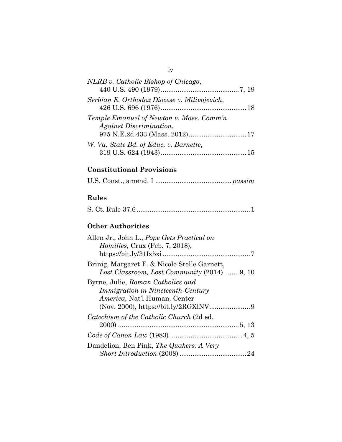| NLRB v. Catholic Bishop of Chicago,                                 |  |
|---------------------------------------------------------------------|--|
| Serbian E. Orthodox Diocese v. Milivojevich,                        |  |
| Temple Emanuel of Newton v. Mass. Comm'n<br>Against Discrimination, |  |
| W. Va. State Bd. of Educ. v. Barnette,                              |  |

## **Constitutional Provisions**

## **Rules**

## **Other Authorities**

## iv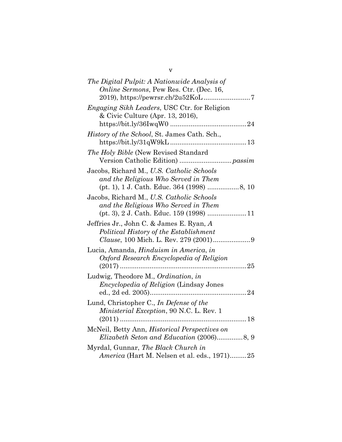| The Digital Pulpit: A Nationwide Analysis of<br>Online Sermons, Pew Res. Ctr. (Dec. 16,                                              |  |
|--------------------------------------------------------------------------------------------------------------------------------------|--|
| <i>Engaging Sikh Leaders, USC Ctr. for Religion</i><br>& Civic Culture (Apr. 13, 2016),                                              |  |
| <i>History of the School</i> , St. James Cath. Sch.,                                                                                 |  |
| The Holy Bible (New Revised Standard                                                                                                 |  |
| Jacobs, Richard M., U.S. Catholic Schools<br>and the Religious Who Served in Them                                                    |  |
| Jacobs, Richard M., U.S. Catholic Schools<br>and the Religious Who Served in Them<br>$(pt. 3), 2 J. Cath. Educ. 159 (1998) \dots 11$ |  |
| Jeffries Jr., John C. & James E. Ryan, A<br>Political History of the Establishment                                                   |  |
| Lucia, Amanda, Hinduism in America, in<br>Oxford Research Encyclopedia of Religion                                                   |  |
| Ludwig, Theodore M., Ordination, in<br><i>Encyclopedia of Religion</i> (Lindsay Jones                                                |  |
| Lund, Christopher C., In Defense of the<br>Ministerial Exception, 90 N.C. L. Rev. 1                                                  |  |
| McNeil, Betty Ann, <i>Historical Perspectives on</i>                                                                                 |  |
| Myrdal, Gunnar, The Black Church in<br>America (Hart M. Nelsen et al. eds., 1971)25                                                  |  |

v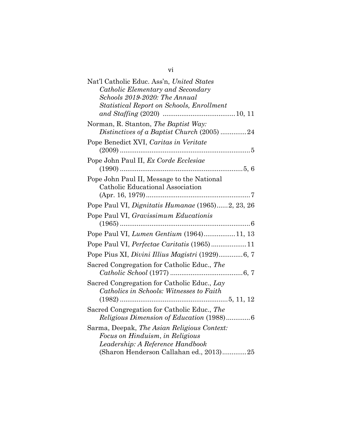| Nat'l Catholic Educ. Ass'n, United States                                          |
|------------------------------------------------------------------------------------|
| Catholic Elementary and Secondary                                                  |
| Schools 2019-2020: The Annual                                                      |
| <b>Statistical Report on Schools, Enrollment</b>                                   |
|                                                                                    |
| Norman, R. Stanton, The Baptist Way:<br>Distinctives of a Baptist Church (2005) 24 |
| Pope Benedict XVI, Caritas in Veritate                                             |
| Pope John Paul II, Ex Corde Ecclesiae                                              |
|                                                                                    |
| Pope John Paul II, Message to the National                                         |
| Catholic Educational Association                                                   |
|                                                                                    |
| Pope Paul VI, Dignitatis Humanae (1965)2, 23, 26                                   |
| Pope Paul VI, Gravissimum Educationis                                              |
|                                                                                    |
| Pope Paul VI, Lumen Gentium (1964)11, 13                                           |
| Pope Paul VI, Perfectae Caritatis (1965) 11                                        |
|                                                                                    |
| Sacred Congregation for Catholic Educ., The                                        |
|                                                                                    |
| Sacred Congregation for Catholic Educ., Lay                                        |
| Catholics in Schools: Witnesses to Faith                                           |
|                                                                                    |
| Sacred Congregation for Catholic Educ., The                                        |
| Religious Dimension of Education (1988)6                                           |
| Sarma, Deepak, The Asian Religious Context:                                        |
| Focus on Hinduism, in Religious                                                    |
| Leadership: A Reference Handbook                                                   |
| (Sharon Henderson Callahan ed., 2013)25                                            |

vi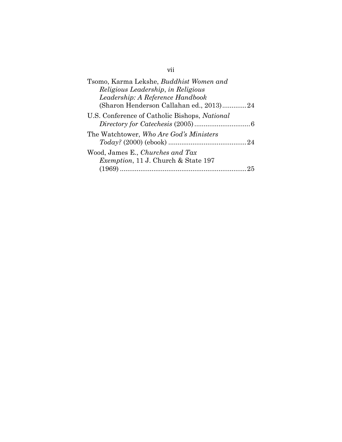| Tsomo, Karma Lekshe, Buddhist Women and       |
|-----------------------------------------------|
| Religious Leadership, in Religious            |
| Leadership: A Reference Handbook              |
| (Sharon Henderson Callahan ed., 2013)24       |
| U.S. Conference of Catholic Bishops, National |
| The Watchtower, Who Are God's Ministers       |
|                                               |
| Wood, James E., Churches and Tax              |
| <i>Exemption</i> , 11 J. Church & State 197   |
|                                               |

vii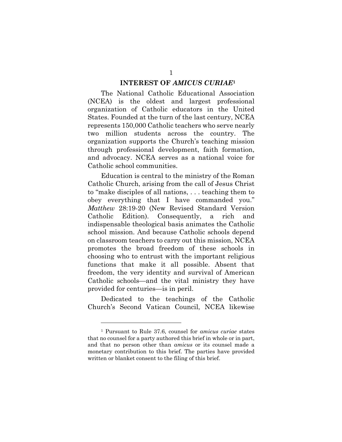#### **INTEREST OF** *AMICUS CURIAE***<sup>1</sup>**

The National Catholic Educational Association (NCEA) is the oldest and largest professional organization of Catholic educators in the United States. Founded at the turn of the last century, NCEA represents 150,000 Catholic teachers who serve nearly two million students across the country. The organization supports the Church's teaching mission through professional development, faith formation, and advocacy. NCEA serves as a national voice for Catholic school communities.

Education is central to the ministry of the Roman Catholic Church, arising from the call of Jesus Christ to "make disciples of all nations, . . . teaching them to obey everything that I have commanded you." *Matthew* 28:19-20 (New Revised Standard Version Catholic Edition). Consequently, a rich and indispensable theological basis animates the Catholic school mission. And because Catholic schools depend on classroom teachers to carry out this mission, NCEA promotes the broad freedom of these schools in choosing who to entrust with the important religious functions that make it all possible. Absent that freedom, the very identity and survival of American Catholic schools—and the vital ministry they have provided for centuries—is in peril.

Dedicated to the teachings of the Catholic Church's Second Vatican Council, NCEA likewise

<sup>1</sup> Pursuant to Rule 37.6, counsel for *amicus curiae* states that no counsel for a party authored this brief in whole or in part, and that no person other than *amicus* or its counsel made a monetary contribution to this brief. The parties have provided written or blanket consent to the filing of this brief.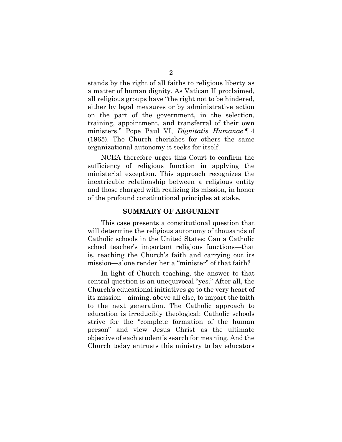stands by the right of all faiths to religious liberty as a matter of human dignity. As Vatican II proclaimed, all religious groups have "the right not to be hindered, either by legal measures or by administrative action on the part of the government, in the selection, training, appointment, and transferral of their own ministers." Pope Paul VI, *Dignitatis Humanae* ¶ 4 (1965). The Church cherishes for others the same organizational autonomy it seeks for itself.

NCEA therefore urges this Court to confirm the sufficiency of religious function in applying the ministerial exception. This approach recognizes the inextricable relationship between a religious entity and those charged with realizing its mission, in honor of the profound constitutional principles at stake.

#### **SUMMARY OF ARGUMENT**

This case presents a constitutional question that will determine the religious autonomy of thousands of Catholic schools in the United States: Can a Catholic school teacher's important religious functions—that is, teaching the Church's faith and carrying out its mission—alone render her a "minister" of that faith?

In light of Church teaching, the answer to that central question is an unequivocal "yes." After all, the Church's educational initiatives go to the very heart of its mission—aiming, above all else, to impart the faith to the next generation. The Catholic approach to education is irreducibly theological: Catholic schools strive for the "complete formation of the human person" and view Jesus Christ as the ultimate objective of each student's search for meaning. And the Church today entrusts this ministry to lay educators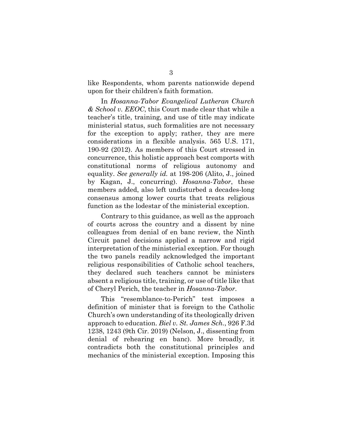like Respondents, whom parents nationwide depend upon for their children's faith formation.

In *Hosanna-Tabor Evangelical Lutheran Church & School v. EEOC*, this Court made clear that while a teacher's title, training, and use of title may indicate ministerial status, such formalities are not necessary for the exception to apply; rather, they are mere considerations in a flexible analysis. 565 U.S. 171, 190-92 (2012). As members of this Court stressed in concurrence, this holistic approach best comports with constitutional norms of religious autonomy and equality. *See generally id.* at 198-206 (Alito, J., joined by Kagan, J., concurring). *Hosanna-Tabor*, these members added, also left undisturbed a decades-long consensus among lower courts that treats religious function as the lodestar of the ministerial exception.

Contrary to this guidance, as well as the approach of courts across the country and a dissent by nine colleagues from denial of en banc review, the Ninth Circuit panel decisions applied a narrow and rigid interpretation of the ministerial exception. For though the two panels readily acknowledged the important religious responsibilities of Catholic school teachers, they declared such teachers cannot be ministers absent a religious title, training, or use of title like that of Cheryl Perich, the teacher in *Hosanna-Tabor*.

This "resemblance-to-Perich" test imposes a definition of minister that is foreign to the Catholic Church's own understanding of its theologically driven approach to education. *Biel v. St. James Sch.*, 926 F.3d 1238, 1243 (9th Cir. 2019) (Nelson, J., dissenting from denial of rehearing en banc). More broadly, it contradicts both the constitutional principles and mechanics of the ministerial exception. Imposing this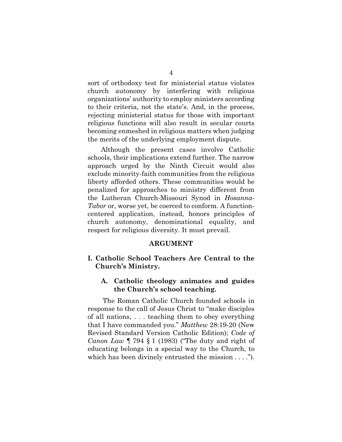sort of orthodoxy test for ministerial status violates church autonomy by interfering with religious organizations' authority to employ ministers according to their criteria, not the state's. And, in the process, rejecting ministerial status for those with important religious functions will also result in secular courts becoming enmeshed in religious matters when judging the merits of the underlying employment dispute.

Although the present cases involve Catholic schools, their implications extend further. The narrow approach urged by the Ninth Circuit would also exclude minority-faith communities from the religious liberty afforded others. These communities would be penalized for approaches to ministry different from the Lutheran Church-Missouri Synod in *Hosanna-Tabor* or, worse yet, be coerced to conform. A functioncentered application, instead, honors principles of church autonomy, denominational equality, and respect for religious diversity. It must prevail.

#### **ARGUMENT**

## **I. Catholic School Teachers Are Central to the Church's Ministry.**

## **A. Catholic theology animates and guides the Church's school teaching.**

The Roman Catholic Church founded schools in response to the call of Jesus Christ to "make disciples of all nations, . . . teaching them to obey everything that I have commanded you." *Matthew* 28:19-20 (New Revised Standard Version Catholic Edition); *Code of Canon Law* ¶ 794 § 1 (1983) ("The duty and right of educating belongs in a special way to the Church, to which has been divinely entrusted the mission . . . .").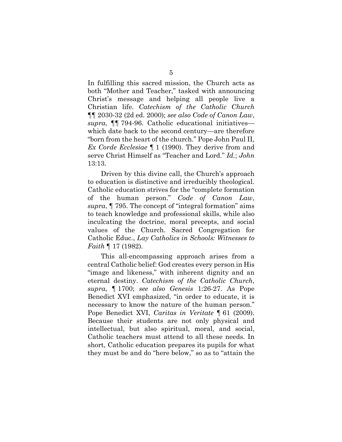In fulfilling this sacred mission, the Church acts as both "Mother and Teacher," tasked with announcing Christ's message and helping all people live a Christian life. *Catechism of the Catholic Church*  ¶¶ 2030-32 (2d ed. 2000); *see also Code of Canon Law*, *supra*, ¶¶ 794-96. Catholic educational initiatives which date back to the second century—are therefore "born from the heart of the church." Pope John Paul II, *Ex Corde Ecclesiae* ¶ 1 (1990). They derive from and serve Christ Himself as "Teacher and Lord." *Id.*; *John*  13:13.

Driven by this divine call, the Church's approach to education is distinctive and irreducibly theological. Catholic education strives for the "complete formation of the human person." *Code of Canon Law*, *supra*, ¶ 795. The concept of "integral formation" aims to teach knowledge and professional skills, while also inculcating the doctrine, moral precepts, and social values of the Church. Sacred Congregation for Catholic Educ., *Lay Catholics in Schools: Witnesses to Faith* ¶ 17 (1982).

This all-encompassing approach arises from a central Catholic belief: God creates every person in His "image and likeness," with inherent dignity and an eternal destiny. *Catechism of the Catholic Church*, *supra*, ¶ 1700; *see also Genesis* 1:26-27. As Pope Benedict XVI emphasized, "in order to educate, it is necessary to know the nature of the human person." Pope Benedict XVI, *Caritas in Veritate* ¶ 61 (2009). Because their students are not only physical and intellectual, but also spiritual, moral, and social, Catholic teachers must attend to all these needs. In short, Catholic education prepares its pupils for what they must be and do "here below," so as to "attain the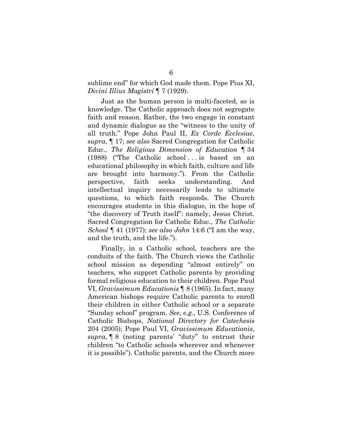sublime end" for which God made them. Pope Pius XI, *Divini Illius Magistri* ¶ 7 (1929).

Just as the human person is multi-faceted, so is knowledge. The Catholic approach does not segregate faith and reason. Rather, the two engage in constant and dynamic dialogue as the "witness to the unity of all truth." Pope John Paul II, *Ex Corde Ecclesiae*, *supra*, ¶ 17; *see also* Sacred Congregation for Catholic Educ., *The Religious Dimension of Education* ¶ 34 (1988) ("The Catholic school . . . is based on an educational philosophy in which faith, culture and life are brought into harmony."). From the Catholic perspective, faith seeks understanding. And intellectual inquiry necessarily leads to ultimate questions, to which faith responds. The Church encourages students in this dialogue, in the hope of "the discovery of Truth itself": namely, Jesus Christ. Sacred Congregation for Catholic Educ., *The Catholic School* ¶ 41 (1977); *see also John* 14:6 ("I am the way, and the truth, and the life.").

Finally, in a Catholic school, teachers are the conduits of the faith. The Church views the Catholic school mission as depending "almost entirely" on teachers, who support Catholic parents by providing formal religious education to their children. Pope Paul VI, *Gravissimum Educationis* ¶ 8 (1965). In fact, many American bishops require Catholic parents to enroll their children in either Catholic school or a separate "Sunday school" program. *See, e.g.*, U.S. Conference of Catholic Bishops, *National Directory for Catechesis* 204 (2005); Pope Paul VI, *Gravissimum Educationis*, *supra*, ¶ 8 (noting parents' "duty" to entrust their children "to Catholic schools wherever and whenever it is possible"). Catholic parents, and the Church more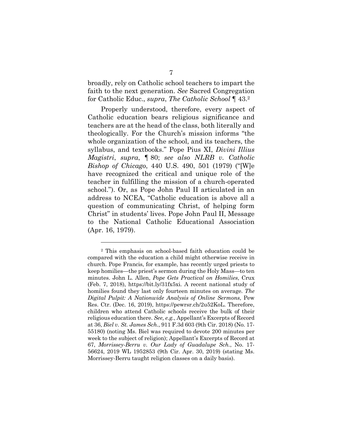broadly, rely on Catholic school teachers to impart the faith to the next generation. *See* Sacred Congregation for Catholic Educ., *supra*, *The Catholic School* ¶ 43.2

Properly understood, therefore, every aspect of Catholic education bears religious significance and teachers are at the head of the class, both literally and theologically. For the Church's mission informs "the whole organization of the school, and its teachers, the syllabus, and textbooks." Pope Pius XI, *Divini Illius Magistri*, *supra*, ¶ 80; *see also NLRB v. Catholic Bishop of Chicago*, 440 U.S. 490, 501 (1979) ("[W]e have recognized the critical and unique role of the teacher in fulfilling the mission of a church-operated school."). Or, as Pope John Paul II articulated in an address to NCEA, "Catholic education is above all a question of communicating Christ, of helping form Christ" in students' lives. Pope John Paul II, Message to the National Catholic Educational Association (Apr. 16, 1979).

<sup>2</sup> This emphasis on school-based faith education could be compared with the education a child might otherwise receive in church. Pope Francis, for example, has recently urged priests to keep homilies—the priest's sermon during the Holy Mass—to ten minutes. John L. Allen, *Pope Gets Practical on Homilies*, Crux (Feb. 7, 2018), https://bit.ly/31fx5xi. A recent national study of homilies found they last only fourteen minutes on average. *The Digital Pulpit: A Nationwide Analysis of Online Sermons*, Pew Res. Ctr. (Dec. 16, 2019), https://pewrsr.ch/2u52KoL. Therefore, children who attend Catholic schools receive the bulk of their religious education there. *See, e.g.*, Appellant's Excerpts of Record at 36, *Biel v. St. James Sch.*, 911 F.3d 603 (9th Cir. 2018) (No. 17- 55180) (noting Ms. Biel was required to devote 200 minutes per week to the subject of religion); Appellant's Excerpts of Record at 67, *Morrissey-Berru v. Our Lady of Guadalupe Sch.*, No. 17- 56624, 2019 WL 1952853 (9th Cir. Apr. 30, 2019) (stating Ms. Morrissey-Berru taught religion classes on a daily basis).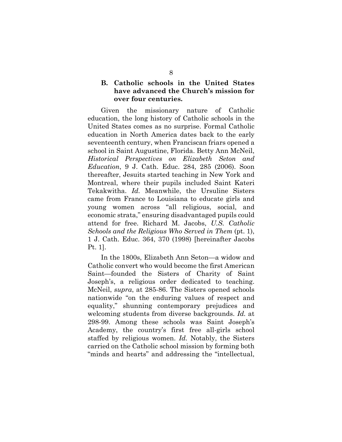## **B. Catholic schools in the United States have advanced the Church's mission for over four centuries.**

Given the missionary nature of Catholic education, the long history of Catholic schools in the United States comes as no surprise. Formal Catholic education in North America dates back to the early seventeenth century, when Franciscan friars opened a school in Saint Augustine, Florida. Betty Ann McNeil, *Historical Perspectives on Elizabeth Seton and Education*, 9 J. Cath. Educ. 284, 285 (2006). Soon thereafter, Jesuits started teaching in New York and Montreal, where their pupils included Saint Kateri Tekakwitha. *Id.* Meanwhile, the Ursuline Sisters came from France to Louisiana to educate girls and young women across "all religious, social, and economic strata," ensuring disadvantaged pupils could attend for free. Richard M. Jacobs, *U.S. Catholic Schools and the Religious Who Served in Them* (pt. 1), 1 J. Cath. Educ. 364, 370 (1998) [hereinafter Jacobs Pt. 1].

In the 1800s, Elizabeth Ann Seton—a widow and Catholic convert who would become the first American Saint—founded the Sisters of Charity of Saint Joseph's, a religious order dedicated to teaching. McNeil, *supra*, at 285-86. The Sisters opened schools nationwide "on the enduring values of respect and equality," shunning contemporary prejudices and welcoming students from diverse backgrounds. *Id.* at 298-99. Among these schools was Saint Joseph's Academy, the country's first free all-girls school staffed by religious women. *Id.* Notably, the Sisters carried on the Catholic school mission by forming both "minds and hearts" and addressing the "intellectual,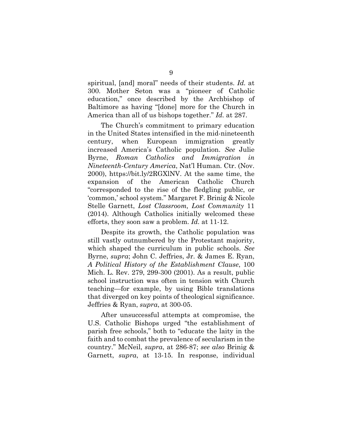spiritual, [and] moral" needs of their students. *Id.* at 300. Mother Seton was a "pioneer of Catholic education," once described by the Archbishop of Baltimore as having "[done] more for the Church in America than all of us bishops together." *Id.* at 287.

The Church's commitment to primary education in the United States intensified in the mid-nineteenth century, when European immigration greatly increased America's Catholic population. *See* Julie Byrne, *Roman Catholics and Immigration in Nineteenth-Century America*, Nat'l Human. Ctr. (Nov. 2000), https://bit.ly/2RGXlNV. At the same time, the expansion of the American Catholic Church "corresponded to the rise of the fledgling public, or 'common,' school system." Margaret F. Brinig & Nicole Stelle Garnett, *Lost Classroom, Lost Community* 11 (2014). Although Catholics initially welcomed these efforts, they soon saw a problem. *Id.* at 11-12.

Despite its growth, the Catholic population was still vastly outnumbered by the Protestant majority, which shaped the curriculum in public schools. *See* Byrne, *supra*; John C. Jeffries, Jr. & James E. Ryan, *A Political History of the Establishment Clause*, 100 Mich. L. Rev. 279, 299-300 (2001). As a result, public school instruction was often in tension with Church teaching—for example, by using Bible translations that diverged on key points of theological significance. Jeffries & Ryan, *supra*, at 300-05.

After unsuccessful attempts at compromise, the U.S. Catholic Bishops urged "the establishment of parish free schools," both to "educate the laity in the faith and to combat the prevalence of secularism in the country." McNeil, *supra*, at 286-87; *see also* Brinig & Garnett, *supra*, at 13-15. In response, individual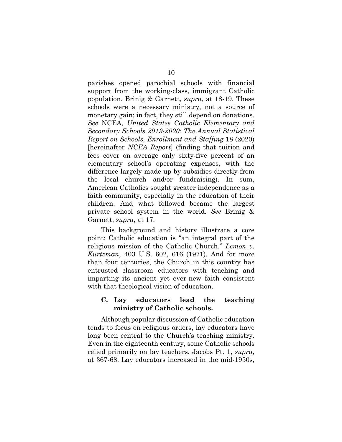parishes opened parochial schools with financial support from the working-class, immigrant Catholic population. Brinig & Garnett, *supra*, at 18-19. These schools were a necessary ministry, not a source of monetary gain; in fact, they still depend on donations. *See* NCEA, *United States Catholic Elementary and Secondary Schools 2019-2020: The Annual Statistical Report on Schools, Enrollment and Staffing* 18 (2020) [hereinafter *NCEA Report*] (finding that tuition and fees cover on average only sixty-five percent of an elementary school's operating expenses, with the difference largely made up by subsidies directly from the local church and/or fundraising). In sum, American Catholics sought greater independence as a faith community, especially in the education of their children. And what followed became the largest private school system in the world. *See* Brinig & Garnett, *supra*, at 17.

This background and history illustrate a core point: Catholic education is "an integral part of the religious mission of the Catholic Church." *Lemon v. Kurtzman*, 403 U.S. 602, 616 (1971). And for more than four centuries, the Church in this country has entrusted classroom educators with teaching and imparting its ancient yet ever-new faith consistent with that theological vision of education.

### **C. Lay educators lead the teaching ministry of Catholic schools.**

Although popular discussion of Catholic education tends to focus on religious orders, lay educators have long been central to the Church's teaching ministry. Even in the eighteenth century, some Catholic schools relied primarily on lay teachers. Jacobs Pt. 1, *supra*, at 367-68. Lay educators increased in the mid-1950s,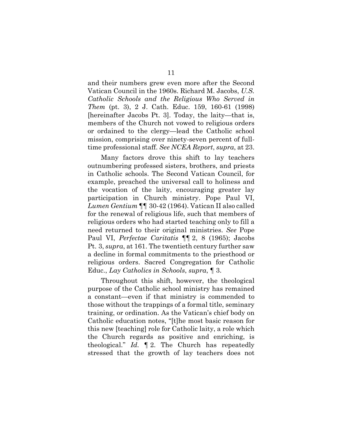and their numbers grew even more after the Second Vatican Council in the 1960s. Richard M. Jacobs, *U.S. Catholic Schools and the Religious Who Served in Them* (pt. 3), 2 J. Cath. Educ. 159, 160-61 (1998) [hereinafter Jacobs Pt. 3]. Today, the laity—that is, members of the Church not vowed to religious orders or ordained to the clergy—lead the Catholic school mission, comprising over ninety-seven percent of fulltime professional staff. *See NCEA Report*, *supra*, at 23.

Many factors drove this shift to lay teachers outnumbering professed sisters, brothers, and priests in Catholic schools. The Second Vatican Council, for example, preached the universal call to holiness and the vocation of the laity, encouraging greater lay participation in Church ministry. Pope Paul VI, *Lumen Gentium* ¶¶ 30-42 (1964). Vatican II also called for the renewal of religious life, such that members of religious orders who had started teaching only to fill a need returned to their original ministries. *See* Pope Paul VI, *Perfectae Caritatis* ¶¶ 2, 8 (1965); Jacobs Pt. 3, *supra*, at 161. The twentieth century further saw a decline in formal commitments to the priesthood or religious orders. Sacred Congregation for Catholic Educ., *Lay Catholics in Schools*, *supra*, ¶ 3.

Throughout this shift, however, the theological purpose of the Catholic school ministry has remained a constant—even if that ministry is commended to those without the trappings of a formal title, seminary training, or ordination. As the Vatican's chief body on Catholic education notes, "[t]he most basic reason for this new [teaching] role for Catholic laity, a role which the Church regards as positive and enriching, is theological." *Id.* ¶ 2. The Church has repeatedly stressed that the growth of lay teachers does not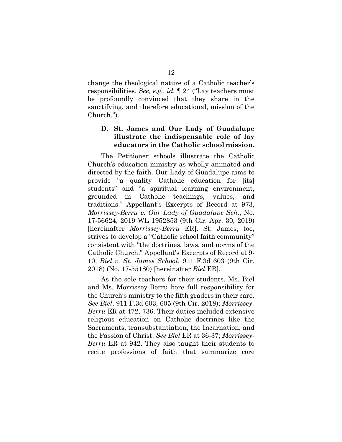change the theological nature of a Catholic teacher's responsibilities. *See, e.g.*, *id.* ¶ 24 ("Lay teachers must be profoundly convinced that they share in the sanctifying, and therefore educational, mission of the Church.").

## **D. St. James and Our Lady of Guadalupe illustrate the indispensable role of lay educators in the Catholic school mission.**

The Petitioner schools illustrate the Catholic Church's education ministry as wholly animated and directed by the faith. Our Lady of Guadalupe aims to provide "a quality Catholic education for [its] students" and "a spiritual learning environment, grounded in Catholic teachings, values, and traditions." Appellant's Excerpts of Record at 973, *Morrissey-Berru v. Our Lady of Guadalupe Sch.*, No. 17-56624, 2019 WL 1952853 (9th Cir. Apr. 30, 2019) [hereinafter *Morrissey-Berru* ER]. St. James, too, strives to develop a "Catholic school faith community" consistent with "the doctrines, laws, and norms of the Catholic Church." Appellant's Excerpts of Record at 9- 10, *Biel v. St. James School*, 911 F.3d 603 (9th Cir. 2018) (No. 17-55180) [hereinafter *Biel* ER].

As the sole teachers for their students, Ms. Biel and Ms. Morrissey-Berru bore full responsibility for the Church's ministry to the fifth graders in their care. *See Biel*, 911 F.3d 603, 605 (9th Cir. 2018); *Morrissey-Berru* ER at 472, 736. Their duties included extensive religious education on Catholic doctrines like the Sacraments, transubstantiation, the Incarnation, and the Passion of Christ. *See Biel* ER at 36-37; *Morrissey-Berru* ER at 942. They also taught their students to recite professions of faith that summarize core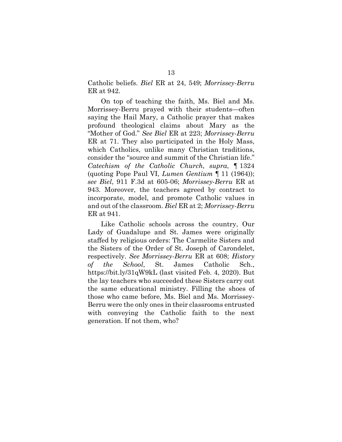Catholic beliefs. *Biel* ER at 24, 549; *Morrissey-Berru* ER at 942.

On top of teaching the faith, Ms. Biel and Ms. Morrissey-Berru prayed with their students—often saying the Hail Mary, a Catholic prayer that makes profound theological claims about Mary as the "Mother of God." *See Biel* ER at 223; *Morrissey-Berru*  ER at 71. They also participated in the Holy Mass, which Catholics, unlike many Christian traditions, consider the "source and summit of the Christian life." *Catechism of the Catholic Church*, *supra*, ¶ 1324 (quoting Pope Paul VI, *Lumen Gentium* ¶ 11 (1964)); *see Biel*, 911 F.3d at 605-06; *Morrissey-Berru* ER at 943. Moreover, the teachers agreed by contract to incorporate, model, and promote Catholic values in and out of the classroom. *Biel* ER at 2; *Morrissey-Berru* ER at 941.

Like Catholic schools across the country, Our Lady of Guadalupe and St. James were originally staffed by religious orders: The Carmelite Sisters and the Sisters of the Order of St. Joseph of Carondelet, respectively. *See Morrissey-Berru* ER at 608; *History of the School*, St. James Catholic Sch., https://bit.ly/31qW9kL (last visited Feb. 4, 2020). But the lay teachers who succeeded these Sisters carry out the same educational ministry. Filling the shoes of those who came before, Ms. Biel and Ms. Morrissey-Berru were the only ones in their classrooms entrusted with conveying the Catholic faith to the next generation. If not them, who?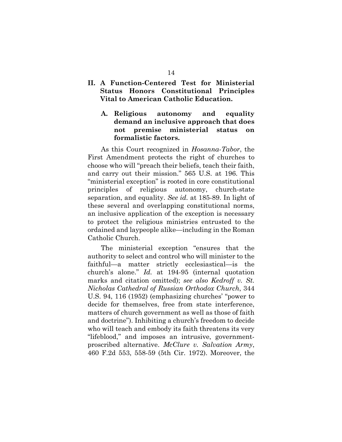## **II. A Function-Centered Test for Ministerial Status Honors Constitutional Principles Vital to American Catholic Education.**

**A. Religious autonomy and equality demand an inclusive approach that does not premise ministerial status on formalistic factors.**

As this Court recognized in *Hosanna-Tabor*, the First Amendment protects the right of churches to choose who will "preach their beliefs, teach their faith, and carry out their mission." 565 U.S. at 196. This "ministerial exception" is rooted in core constitutional principles of religious autonomy, church-state separation, and equality. *See id.* at 185-89. In light of these several and overlapping constitutional norms, an inclusive application of the exception is necessary to protect the religious ministries entrusted to the ordained and laypeople alike—including in the Roman Catholic Church.

The ministerial exception "ensures that the authority to select and control who will minister to the faithful—a matter strictly ecclesiastical—is the church's alone." *Id.* at 194-95 (internal quotation marks and citation omitted); *see also Kedroff v. St. Nicholas Cathedral of Russian Orthodox Church*, 344 U.S. 94, 116 (1952) (emphasizing churches' "power to decide for themselves, free from state interference, matters of church government as well as those of faith and doctrine"). Inhibiting a church's freedom to decide who will teach and embody its faith threatens its very "lifeblood," and imposes an intrusive, governmentproscribed alternative. *McClure v. Salvation Army*, 460 F.2d 553, 558-59 (5th Cir. 1972). Moreover, the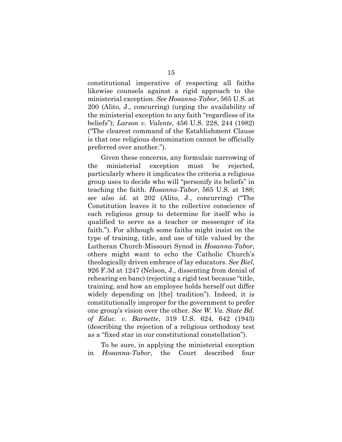constitutional imperative of respecting all faiths likewise counsels against a rigid approach to the ministerial exception. *See Hosanna-Tabor*, 565 U.S. at 200 (Alito, J., concurring) (urging the availability of the ministerial exception to any faith "regardless of its beliefs"); *Larson v. Valente*, 456 U.S. 228, 244 (1982) ("The clearest command of the Establishment Clause is that one religious denomination cannot be officially preferred over another.").

Given these concerns, any formulaic narrowing of the ministerial exception must be rejected, particularly where it implicates the criteria a religious group uses to decide who will "personify its beliefs" in teaching the faith. *Hosanna-Tabor*, 565 U.S. at 188; *see also id.* at 202 (Alito, J., concurring) ("The Constitution leaves it to the collective conscience of each religious group to determine for itself who is qualified to serve as a teacher or messenger of its faith."). For although some faiths might insist on the type of training, title, and use of title valued by the Lutheran Church-Missouri Synod in *Hosanna-Tabor*, others might want to echo the Catholic Church's theologically driven embrace of lay educators. *See Biel*, 926 F.3d at 1247 (Nelson, J., dissenting from denial of rehearing en banc) (rejecting a rigid test because "title, training, and how an employee holds herself out differ widely depending on [the] tradition"). Indeed, it is constitutionally improper for the government to prefer one group's vision over the other. *See W. Va. State Bd. of Educ. v. Barnette*, 319 U.S. 624, 642 (1943) (describing the rejection of a religious orthodoxy test as a "fixed star in our constitutional constellation").

To be sure, in applying the ministerial exception in *Hosanna-Tabor*, the Court described four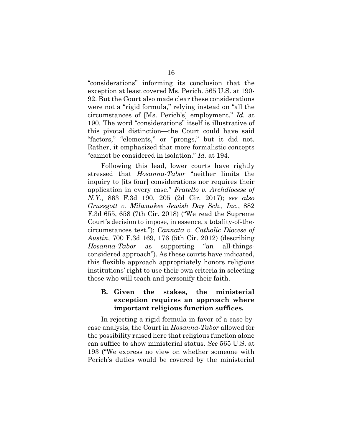"considerations" informing its conclusion that the exception at least covered Ms. Perich. 565 U.S. at 190- 92. But the Court also made clear these considerations were not a "rigid formula," relying instead on "all the circumstances of [Ms. Perich's] employment." *Id.* at 190. The word "considerations" itself is illustrative of this pivotal distinction—the Court could have said "factors," "elements," or "prongs," but it did not. Rather, it emphasized that more formalistic concepts "cannot be considered in isolation." *Id.* at 194.

Following this lead, lower courts have rightly stressed that *Hosanna-Tabor* "neither limits the inquiry to [its four] considerations nor requires their application in every case." *Fratello v. Archdiocese of N.Y.*, 863 F.3d 190, 205 (2d Cir. 2017); *see also Grussgott v. Milwaukee Jewish Day Sch., Inc.*, 882 F.3d 655, 658 (7th Cir. 2018) ("We read the Supreme Court's decision to impose, in essence, a totality-of-thecircumstances test."); *Cannata v. Catholic Diocese of Austin*, 700 F.3d 169, 176 (5th Cir. 2012) (describing *Hosanna-Tabor* as supporting "an all-thingsconsidered approach"). As these courts have indicated, this flexible approach appropriately honors religious institutions' right to use their own criteria in selecting those who will teach and personify their faith.

## **B. Given the stakes, the ministerial exception requires an approach where important religious function suffices.**

In rejecting a rigid formula in favor of a case-bycase analysis, the Court in *Hosanna-Tabor* allowed for the possibility raised here that religious function alone can suffice to show ministerial status. *See* 565 U.S. at 193 ("We express no view on whether someone with Perich's duties would be covered by the ministerial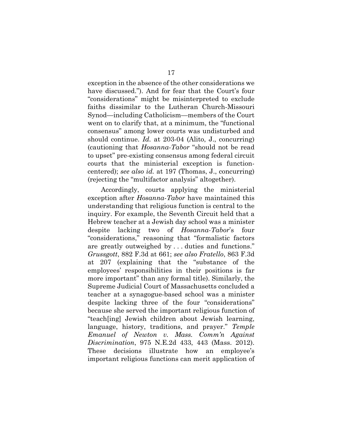exception in the absence of the other considerations we have discussed."). And for fear that the Court's four "considerations" might be misinterpreted to exclude faiths dissimilar to the Lutheran Church-Missouri Synod—including Catholicism—members of the Court went on to clarify that, at a minimum, the "functional consensus" among lower courts was undisturbed and should continue. *Id.* at 203-04 (Alito, J., concurring) (cautioning that *Hosanna-Tabor* "should not be read to upset" pre-existing consensus among federal circuit courts that the ministerial exception is functioncentered); *see also id.* at 197 (Thomas, J., concurring) (rejecting the "multifactor analysis" altogether).

Accordingly, courts applying the ministerial exception after *Hosanna-Tabor* have maintained this understanding that religious function is central to the inquiry. For example, the Seventh Circuit held that a Hebrew teacher at a Jewish day school was a minister despite lacking two of *Hosanna-Tabor*'s four "considerations," reasoning that "formalistic factors are greatly outweighed by . . . duties and functions." *Grussgott*, 882 F.3d at 661; *see also Fratello*, 863 F.3d at 207 (explaining that the "substance of the employees' responsibilities in their positions is far more important" than any formal title). Similarly, the Supreme Judicial Court of Massachusetts concluded a teacher at a synagogue-based school was a minister despite lacking three of the four "considerations" because she served the important religious function of "teach[ing] Jewish children about Jewish learning, language, history, traditions, and prayer." *Temple Emanuel of Newton v. Mass. Comm'n Against Discrimination*, 975 N.E.2d 433, 443 (Mass. 2012). These decisions illustrate how an employee's important religious functions can merit application of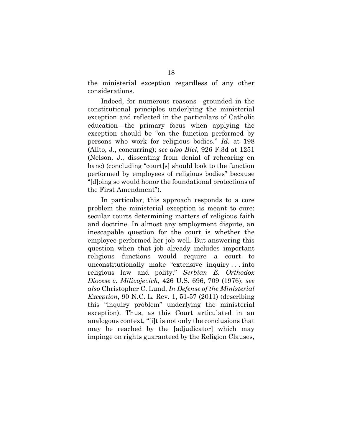the ministerial exception regardless of any other considerations.

Indeed, for numerous reasons—grounded in the constitutional principles underlying the ministerial exception and reflected in the particulars of Catholic education—the primary focus when applying the exception should be "on the function performed by persons who work for religious bodies." *Id.* at 198 (Alito, J., concurring); *see also Biel*, 926 F.3d at 1251 (Nelson, J., dissenting from denial of rehearing en banc) (concluding "court[s] should look to the function performed by employees of religious bodies" because "[d]oing so would honor the foundational protections of the First Amendment").

In particular, this approach responds to a core problem the ministerial exception is meant to cure: secular courts determining matters of religious faith and doctrine. In almost any employment dispute, an inescapable question for the court is whether the employee performed her job well. But answering this question when that job already includes important religious functions would require a court to unconstitutionally make "extensive inquiry . . . into religious law and polity." *Serbian E. Orthodox Diocese v. Milivojevich*, 426 U.S. 696, 709 (1976); *see also* Christopher C. Lund, *In Defense of the Ministerial Exception*, 90 N.C. L. Rev. 1, 51-57 (2011) (describing this "inquiry problem" underlying the ministerial exception). Thus, as this Court articulated in an analogous context, "[i]t is not only the conclusions that may be reached by the [adjudicator] which may impinge on rights guaranteed by the Religion Clauses,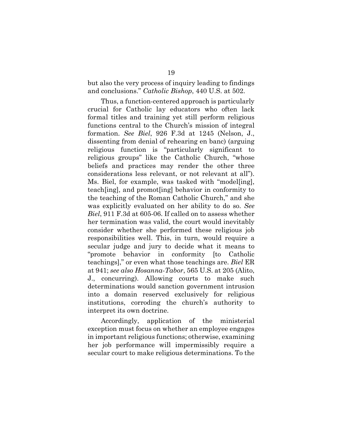but also the very process of inquiry leading to findings and conclusions." *Catholic Bishop*, 440 U.S. at 502.

Thus, a function-centered approach is particularly crucial for Catholic lay educators who often lack formal titles and training yet still perform religious functions central to the Church's mission of integral formation. *See Biel*, 926 F.3d at 1245 (Nelson, J., dissenting from denial of rehearing en banc) (arguing religious function is "particularly significant to religious groups" like the Catholic Church, "whose beliefs and practices may render the other three considerations less relevant, or not relevant at all"). Ms. Biel, for example, was tasked with "model[ing], teach[ing], and promot[ing] behavior in conformity to the teaching of the Roman Catholic Church," and she was explicitly evaluated on her ability to do so. *See Biel*, 911 F.3d at 605-06. If called on to assess whether her termination was valid, the court would inevitably consider whether she performed these religious job responsibilities well. This, in turn, would require a secular judge and jury to decide what it means to "promote behavior in conformity [to Catholic teachings]," or even what those teachings are. *Biel* ER at 941; *see also Hosanna-Tabor*, 565 U.S. at 205 (Alito, J., concurring). Allowing courts to make such determinations would sanction government intrusion into a domain reserved exclusively for religious institutions, corroding the church's authority to interpret its own doctrine.

Accordingly, application of the ministerial exception must focus on whether an employee engages in important religious functions; otherwise, examining her job performance will impermissibly require a secular court to make religious determinations. To the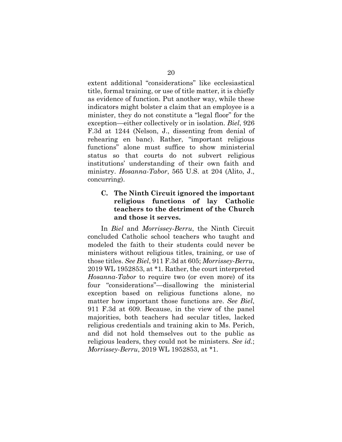extent additional "considerations" like ecclesiastical title, formal training, or use of title matter, it is chiefly as evidence of function. Put another way, while these indicators might bolster a claim that an employee is a minister, they do not constitute a "legal floor" for the exception—either collectively or in isolation. *Biel*, 926 F.3d at 1244 (Nelson, J., dissenting from denial of rehearing en banc). Rather, "important religious functions" alone must suffice to show ministerial status so that courts do not subvert religious institutions' understanding of their own faith and ministry. *Hosanna-Tabor*, 565 U.S. at 204 (Alito, J., concurring).

## **C. The Ninth Circuit ignored the important religious functions of lay Catholic teachers to the detriment of the Church and those it serves.**

In *Biel* and *Morrissey-Berru*, the Ninth Circuit concluded Catholic school teachers who taught and modeled the faith to their students could never be ministers without religious titles, training, or use of those titles. *See Biel*, 911 F.3d at 605; *Morrissey-Berru*, 2019 WL 1952853, at \*1. Rather, the court interpreted *Hosanna-Tabor* to require two (or even more) of its four "considerations"—disallowing the ministerial exception based on religious functions alone, no matter how important those functions are. *See Biel*, 911 F.3d at 609. Because, in the view of the panel majorities, both teachers had secular titles, lacked religious credentials and training akin to Ms. Perich, and did not hold themselves out to the public as religious leaders, they could not be ministers. *See id.*; *Morrissey-Berru*, 2019 WL 1952853, at \*1.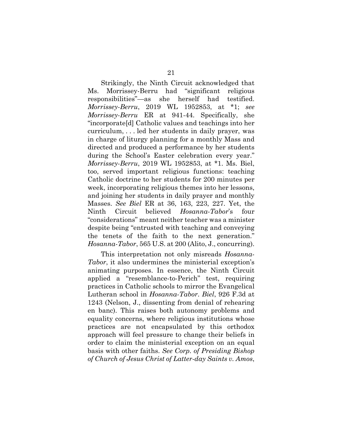Strikingly, the Ninth Circuit acknowledged that Ms. Morrissey-Berru had "significant religious responsibilities"—as she herself had testified. *Morrissey-Berru*, 2019 WL 1952853, at \*1; *see Morrissey-Berru* ER at 941-44. Specifically, she "incorporate[d] Catholic values and teachings into her curriculum, . . . led her students in daily prayer, was in charge of liturgy planning for a monthly Mass and directed and produced a performance by her students during the School's Easter celebration every year." *Morrissey-Berru*, 2019 WL 1952853, at \*1. Ms. Biel, too, served important religious functions: teaching Catholic doctrine to her students for 200 minutes per week, incorporating religious themes into her lessons, and joining her students in daily prayer and monthly Masses. *See Biel* ER at 36, 163, 223, 227. Yet, the Ninth Circuit believed *Hosanna-Tabor*'s four "considerations" meant neither teacher was a minister despite being "entrusted with teaching and conveying the tenets of the faith to the next generation." *Hosanna-Tabor*, 565 U.S. at 200 (Alito, J., concurring).

This interpretation not only misreads *Hosanna-Tabor*, it also undermines the ministerial exception's animating purposes. In essence, the Ninth Circuit applied a "resemblance-to-Perich" test, requiring practices in Catholic schools to mirror the Evangelical Lutheran school in *Hosanna-Tabor*. *Biel*, 926 F.3d at 1243 (Nelson, J., dissenting from denial of rehearing en banc). This raises both autonomy problems and equality concerns, where religious institutions whose practices are not encapsulated by this orthodox approach will feel pressure to change their beliefs in order to claim the ministerial exception on an equal basis with other faiths. *See Corp. of Presiding Bishop of Church of Jesus Christ of Latter-day Saints v. Amos*,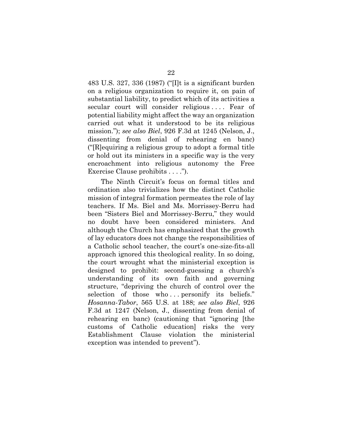483 U.S. 327, 336 (1987) ("[I]t is a significant burden on a religious organization to require it, on pain of substantial liability, to predict which of its activities a secular court will consider religious . . . . Fear of potential liability might affect the way an organization carried out what it understood to be its religious mission."); *see also Biel*, 926 F.3d at 1245 (Nelson, J., dissenting from denial of rehearing en banc) ("[R]equiring a religious group to adopt a formal title or hold out its ministers in a specific way is the very encroachment into religious autonomy the Free Exercise Clause prohibits . . . .").

The Ninth Circuit's focus on formal titles and ordination also trivializes how the distinct Catholic mission of integral formation permeates the role of lay teachers. If Ms. Biel and Ms. Morrissey-Berru had been "Sisters Biel and Morrissey-Berru," they would no doubt have been considered ministers. And although the Church has emphasized that the growth of lay educators does not change the responsibilities of a Catholic school teacher, the court's one-size-fits-all approach ignored this theological reality. In so doing, the court wrought what the ministerial exception is designed to prohibit: second-guessing a church's understanding of its own faith and governing structure, "depriving the church of control over the selection of those who ... personify its beliefs." *Hosanna-Tabor*, 565 U.S. at 188; *see also Biel*, 926 F.3d at 1247 (Nelson, J., dissenting from denial of rehearing en banc) (cautioning that "ignoring [the customs of Catholic education] risks the very Establishment Clause violation the ministerial exception was intended to prevent").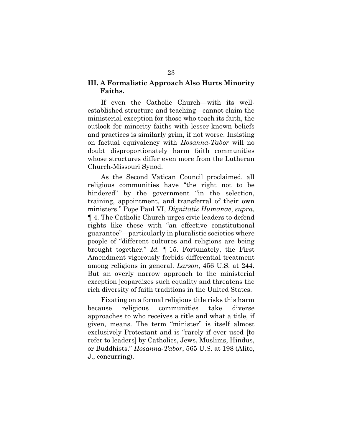## **III. A Formalistic Approach Also Hurts Minority Faiths.**

If even the Catholic Church—with its wellestablished structure and teaching—cannot claim the ministerial exception for those who teach its faith, the outlook for minority faiths with lesser-known beliefs and practices is similarly grim, if not worse. Insisting on factual equivalency with *Hosanna-Tabor* will no doubt disproportionately harm faith communities whose structures differ even more from the Lutheran Church-Missouri Synod.

As the Second Vatican Council proclaimed, all religious communities have "the right not to be hindered" by the government "in the selection, training, appointment, and transferral of their own ministers." Pope Paul VI, *Dignitatis Humanae*, *supra*, ¶ 4. The Catholic Church urges civic leaders to defend rights like these with "an effective constitutional guarantee"—particularly in pluralistic societies where people of "different cultures and religions are being brought together." *Id.* ¶ 15. Fortunately, the First Amendment vigorously forbids differential treatment among religions in general. *Larson*, 456 U.S. at 244. But an overly narrow approach to the ministerial exception jeopardizes such equality and threatens the rich diversity of faith traditions in the United States.

Fixating on a formal religious title risks this harm because religious communities take diverse approaches to who receives a title and what a title, if given, means. The term "minister" is itself almost exclusively Protestant and is "rarely if ever used [to refer to leaders] by Catholics, Jews, Muslims, Hindus, or Buddhists." *Hosanna-Tabor*, 565 U.S. at 198 (Alito, J., concurring).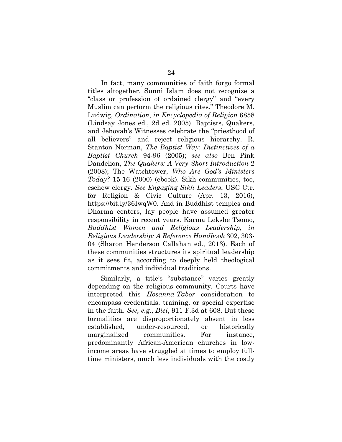In fact, many communities of faith forgo formal titles altogether. Sunni Islam does not recognize a "class or profession of ordained clergy" and "every Muslim can perform the religious rites." Theodore M. Ludwig, *Ordination*, *in Encyclopedia of Religion* 6858 (Lindsay Jones ed., 2d ed. 2005). Baptists, Quakers, and Jehovah's Witnesses celebrate the "priesthood of all believers" and reject religious hierarchy. R. Stanton Norman, *The Baptist Way: Distinctives of a Baptist Church* 94-96 (2005); *see also* Ben Pink Dandelion, *The Quakers: A Very Short Introduction* 2 (2008); The Watchtower, *Who Are God's Ministers Today?* 15-16 (2000) (ebook). Sikh communities, too, eschew clergy. *See Engaging Sikh Leaders*, USC Ctr. for Religion & Civic Culture (Apr. 13, 2016), https://bit.ly/36IwqW0. And in Buddhist temples and Dharma centers, lay people have assumed greater responsibility in recent years. Karma Lekshe Tsomo, *Buddhist Women and Religious Leadership*, *in Religious Leadership: A Reference Handbook* 302, 303- 04 (Sharon Henderson Callahan ed., 2013). Each of these communities structures its spiritual leadership as it sees fit, according to deeply held theological commitments and individual traditions.

Similarly, a title's "substance" varies greatly depending on the religious community. Courts have interpreted this *Hosanna-Tabor* consideration to encompass credentials, training, or special expertise in the faith. *See, e.g.*, *Biel*, 911 F.3d at 608. But these formalities are disproportionately absent in less established, under-resourced, or historically marginalized communities. For instance, predominantly African-American churches in lowincome areas have struggled at times to employ fulltime ministers, much less individuals with the costly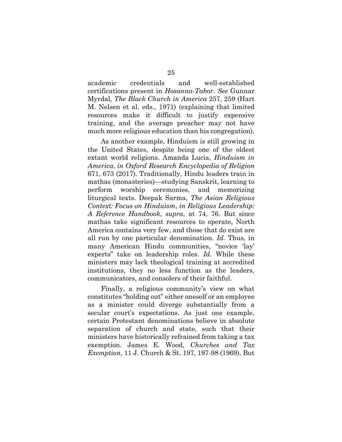academic credentials and well-established certifications present in *Hosanna-Tabor*. *See* Gunnar Myrdal, *The Black Church in America* 257, 259 (Hart M. Nelsen et al. eds., 1971) (explaining that limited resources make it difficult to justify expensive training, and the average preacher may not have much more religious education than his congregation).

As another example, Hinduism is still growing in the United States, despite being one of the oldest extant world religions. Amanda Lucia, *Hinduism in America*, *in Oxford Research Encyclopedia of Religion* 671, 673 (2017). Traditionally, Hindu leaders train in mathas (monasteries)—studying Sanskrit, learning to perform worship ceremonies, and memorizing liturgical texts. Deepak Sarma, *The Asian Religious Context: Focus on Hinduism*, *in Religious Leadership: A Reference Handbook*, *supra*, at 74, 76. But since mathas take significant resources to operate, North America contains very few, and those that do exist are all run by one particular denomination. *Id.* Thus, in many American Hindu communities, "novice 'lay' experts" take on leadership roles. *Id.* While these ministers may lack theological training at accredited institutions, they no less function as the leaders, communicators, and consolers of their faithful.

Finally, a religious community's view on what constitutes "holding out" either oneself or an employee as a minister could diverge substantially from a secular court's expectations. As just one example, certain Protestant denominations believe in absolute separation of church and state, such that their ministers have historically refrained from taking a tax exemption. James E. Wood, *Churches and Tax Exemption*, 11 J. Church & St. 197, 197-98 (1969). But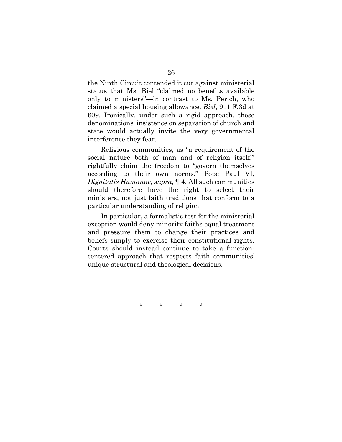the Ninth Circuit contended it cut against ministerial status that Ms. Biel "claimed no benefits available only to ministers"—in contrast to Ms. Perich, who claimed a special housing allowance. *Biel*, 911 F.3d at 609. Ironically, under such a rigid approach, these denominations' insistence on separation of church and state would actually invite the very governmental interference they fear.

Religious communities, as "a requirement of the social nature both of man and of religion itself," rightfully claim the freedom to "govern themselves according to their own norms." Pope Paul VI, *Dignitatis Humanae*, *supra*, ¶ 4. All such communities should therefore have the right to select their ministers, not just faith traditions that conform to a particular understanding of religion.

In particular, a formalistic test for the ministerial exception would deny minority faiths equal treatment and pressure them to change their practices and beliefs simply to exercise their constitutional rights. Courts should instead continue to take a functioncentered approach that respects faith communities' unique structural and theological decisions.

\* \* \* \*